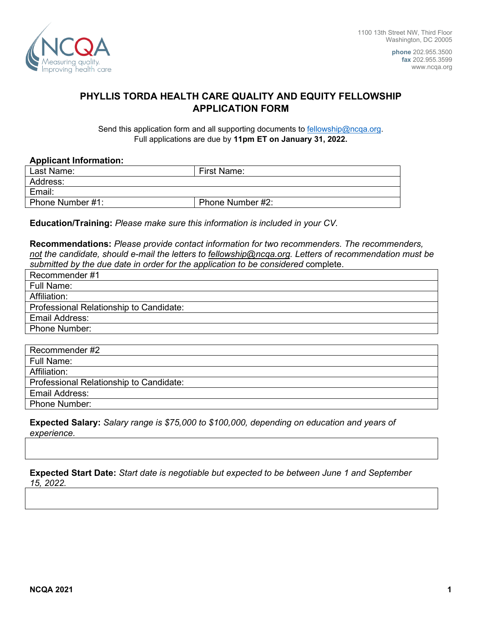

**phone** 202.955.3500 **fax** 202.955.3599 www.ncqa.org

## **PHYLLIS TORDA HEALTH CARE QUALITY AND EQUITY FELLOWSHIP APPLICATION FORM**

Send this application form and all supporting documents to fellowship@ncqa.org. Full applications are due by **11pm ET on January 31, 2022.** 

## **Applicant Information:**

| Last Name:       | First Name:      |
|------------------|------------------|
| Address:         |                  |
| Email:           |                  |
| Phone Number #1: | Phone Number #2: |

**Education/Training:** *Please make sure this information is included in your CV.*

**Recommendations:** *Please provide contact information for two recommenders. The recommenders, not the candidate, should e-mail the letters to [fellowship@ncqa.org.](mailto:fellowship@ncqa.org) Letters of recommendation must be submitted by the due date in order for the application to be considered* complete.

| Recommender #1                          |
|-----------------------------------------|
| Full Name:                              |
| Affiliation:                            |
| Professional Relationship to Candidate: |
| Email Address:                          |
| <b>Phone Number:</b>                    |
|                                         |

| Recommender #2                          |
|-----------------------------------------|
| Full Name:                              |
| Affiliation:                            |
| Professional Relationship to Candidate: |
| Email Address:                          |
| Phone Number:                           |

## **Expected Salary:** *Salary range is \$75,000 to \$100,000, depending on education and years of experience.*

**Expected Start Date:** *Start date is negotiable but expected to be between June 1 and September 15, 2022.*